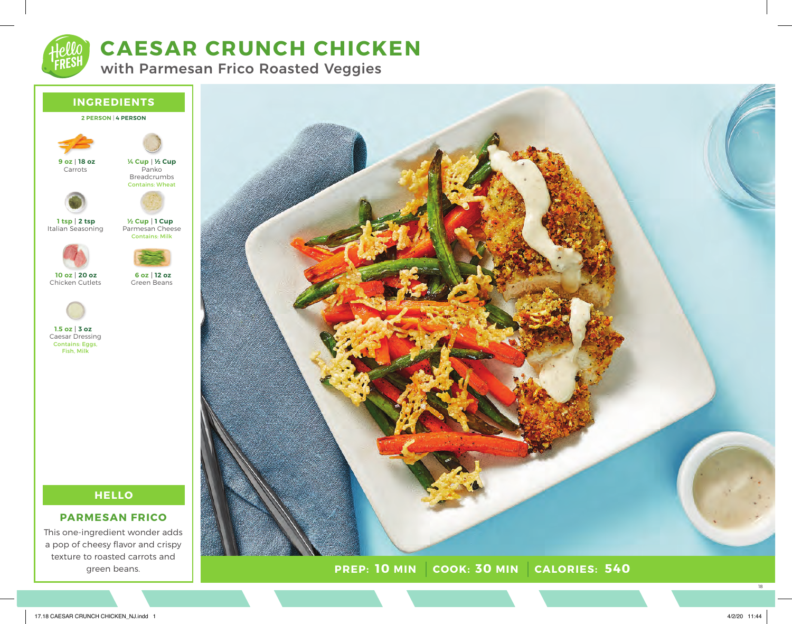

# **CAESAR CRUNCH CHICKEN**

with Parmesan Frico Roasted Veggies



### **2 PERSON** | **4 PERSON**



Panko Breadcrumbs Contains: Wheat **½ Cup ¼ Cup**



Carrots



Parmesan Cheese Contains: Milk **1 Cup ½ Cup**

Green Beans

**12 oz 6 oz**



Chicken Cutlets **20 oz 10 oz**



Caesar Dressing Contains: Eggs, **3 oz 1.5 oz**

Fish, Milk

## **HELLO**

### **PARMESAN FRICO**

This one-ingredient wonder adds a pop of cheesy flavor and crispy texture to roasted carrots and green beans.